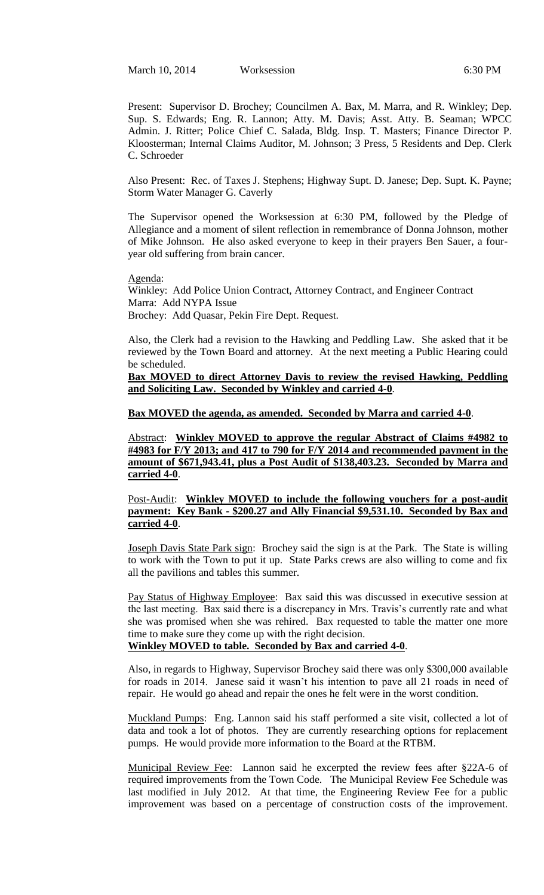March 10, 2014 Worksession 6:30 PM

Present: Supervisor D. Brochey; Councilmen A. Bax, M. Marra, and R. Winkley; Dep. Sup. S. Edwards; Eng. R. Lannon; Atty. M. Davis; Asst. Atty. B. Seaman; WPCC Admin. J. Ritter; Police Chief C. Salada, Bldg. Insp. T. Masters; Finance Director P. Kloosterman; Internal Claims Auditor, M. Johnson; 3 Press, 5 Residents and Dep. Clerk C. Schroeder

Also Present: Rec. of Taxes J. Stephens; Highway Supt. D. Janese; Dep. Supt. K. Payne; Storm Water Manager G. Caverly

The Supervisor opened the Worksession at 6:30 PM, followed by the Pledge of Allegiance and a moment of silent reflection in remembrance of Donna Johnson, mother of Mike Johnson. He also asked everyone to keep in their prayers Ben Sauer, a fouryear old suffering from brain cancer.

Agenda: Winkley: Add Police Union Contract, Attorney Contract, and Engineer Contract Marra: Add NYPA Issue Brochey: Add Quasar, Pekin Fire Dept. Request.

Also, the Clerk had a revision to the Hawking and Peddling Law. She asked that it be reviewed by the Town Board and attorney. At the next meeting a Public Hearing could be scheduled.

**Bax MOVED to direct Attorney Davis to review the revised Hawking, Peddling and Soliciting Law. Seconded by Winkley and carried 4-0**.

## **Bax MOVED the agenda, as amended. Seconded by Marra and carried 4-0**.

Abstract: **Winkley MOVED to approve the regular Abstract of Claims #4982 to #4983 for F/Y 2013; and 417 to 790 for F/Y 2014 and recommended payment in the amount of \$671,943.41, plus a Post Audit of \$138,403.23. Seconded by Marra and carried 4-0**.

Post-Audit: **Winkley MOVED to include the following vouchers for a post-audit payment: Key Bank - \$200.27 and Ally Financial \$9,531.10. Seconded by Bax and carried 4-0**.

Joseph Davis State Park sign: Brochey said the sign is at the Park. The State is willing to work with the Town to put it up. State Parks crews are also willing to come and fix all the pavilions and tables this summer.

Pay Status of Highway Employee: Bax said this was discussed in executive session at the last meeting. Bax said there is a discrepancy in Mrs. Travis's currently rate and what she was promised when she was rehired. Bax requested to table the matter one more time to make sure they come up with the right decision.

# **Winkley MOVED to table. Seconded by Bax and carried 4-0**.

Also, in regards to Highway, Supervisor Brochey said there was only \$300,000 available for roads in 2014. Janese said it wasn't his intention to pave all 21 roads in need of repair. He would go ahead and repair the ones he felt were in the worst condition.

Muckland Pumps: Eng. Lannon said his staff performed a site visit, collected a lot of data and took a lot of photos. They are currently researching options for replacement pumps. He would provide more information to the Board at the RTBM.

Municipal Review Fee: Lannon said he excerpted the review fees after §22A-6 of required improvements from the Town Code. The Municipal Review Fee Schedule was last modified in July 2012. At that time, the Engineering Review Fee for a public improvement was based on a percentage of construction costs of the improvement.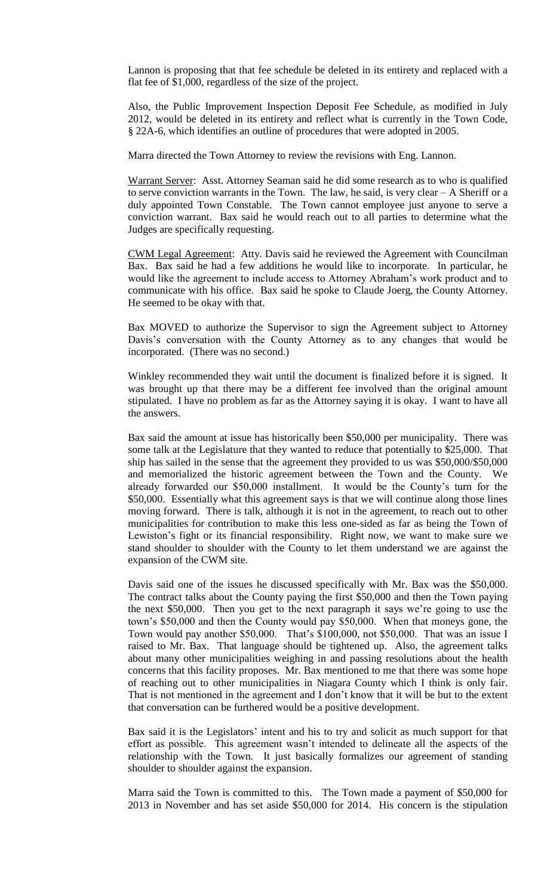Lannon is proposing that that fee schedule be deleted in its entirety and replaced with a flat fee of \$1,000, regardless of the size of the project.

Also, the Public Improvement Inspection Deposit Fee Schedule, as modified in July 2012, would be deleted in its entirety and reflect what is currently in the Town Code, § 22A-6, which identifies an outline of procedures that were adopted in 2005.

Marra directed the Town Attorney to review the revisions with Eng. Lannon.

Warrant Server: Asst. Attorney Seaman said he did some research as to who is qualified to serve conviction warrants in the Town. The law, he said, is very clear – A Sheriff or a duly appointed Town Constable. The Town cannot employee just anyone to serve a conviction warrant. Bax said he would reach out to all parties to determine what the Judges are specifically requesting.

CWM Legal Agreement: Atty. Davis said he reviewed the Agreement with Councilman Bax. Bax said he had a few additions he would like to incorporate. In particular, he would like the agreement to include access to Attorney Abraham's work product and to communicate with his office. Bax said he spoke to Claude Joerg, the County Attorney. He seemed to be okay with that.

Bax MOVED to authorize the Supervisor to sign the Agreement subject to Attorney Davis's conversation with the County Attorney as to any changes that would be incorporated. (There was no second.)

Winkley recommended they wait until the document is finalized before it is signed. It was brought up that there may be a different fee involved than the original amount stipulated. I have no problem as far as the Attorney saying it is okay. I want to have all the answers.

Bax said the amount at issue has historically been \$50,000 per municipality. There was some talk at the Legislature that they wanted to reduce that potentially to \$25,000. That ship has sailed in the sense that the agreement they provided to us was \$50,000/\$50,000 and memorialized the historic agreement between the Town and the County. We already forwarded our \$50,000 installment. It would be the County's turn for the \$50,000. Essentially what this agreement says is that we will continue along those lines moving forward. There is talk, although it is not in the agreement, to reach out to other municipalities for contribution to make this less one-sided as far as being the Town of Lewiston's fight or its financial responsibility. Right now, we want to make sure we stand shoulder to shoulder with the County to let them understand we are against the expansion of the CWM site.

Davis said one of the issues he discussed specifically with Mr. Bax was the \$50,000. The contract talks about the County paying the first \$50,000 and then the Town paying the next \$50,000. Then you get to the next paragraph it says we're going to use the town's \$50,000 and then the County would pay \$50,000. When that moneys gone, the Town would pay another \$50,000. That's \$100,000, not \$50,000. That was an issue I raised to Mr. Bax. That language should be tightened up. Also, the agreement talks about many other municipalities weighing in and passing resolutions about the health concerns that this facility proposes. Mr. Bax mentioned to me that there was some hope of reaching out to other municipalities in Niagara County which I think is only fair. That is not mentioned in the agreement and I don't know that it will be but to the extent that conversation can be furthered would be a positive development.

Bax said it is the Legislators' intent and his to try and solicit as much support for that effort as possible. This agreement wasn't intended to delineate all the aspects of the relationship with the Town. It just basically formalizes our agreement of standing shoulder to shoulder against the expansion.

Marra said the Town is committed to this. The Town made a payment of \$50,000 for 2013 in November and has set aside \$50,000 for 2014. His concern is the stipulation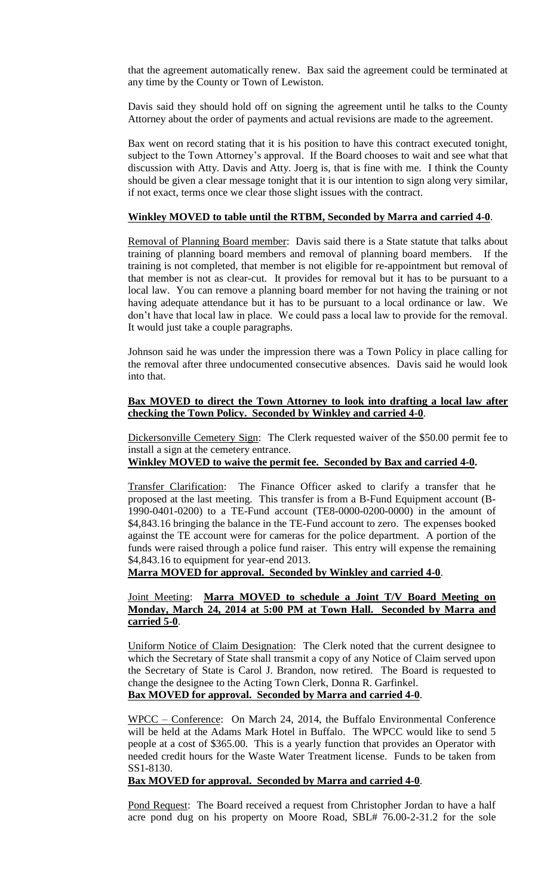that the agreement automatically renew. Bax said the agreement could be terminated at any time by the County or Town of Lewiston.

Davis said they should hold off on signing the agreement until he talks to the County Attorney about the order of payments and actual revisions are made to the agreement.

Bax went on record stating that it is his position to have this contract executed tonight, subject to the Town Attorney's approval. If the Board chooses to wait and see what that discussion with Atty. Davis and Atty. Joerg is, that is fine with me. I think the County should be given a clear message tonight that it is our intention to sign along very similar, if not exact, terms once we clear those slight issues with the contract.

#### **Winkley MOVED to table until the RTBM, Seconded by Marra and carried 4-0**.

Removal of Planning Board member: Davis said there is a State statute that talks about training of planning board members and removal of planning board members. If the training is not completed, that member is not eligible for re-appointment but removal of that member is not as clear-cut. It provides for removal but it has to be pursuant to a local law. You can remove a planning board member for not having the training or not having adequate attendance but it has to be pursuant to a local ordinance or law. We don't have that local law in place. We could pass a local law to provide for the removal. It would just take a couple paragraphs.

Johnson said he was under the impression there was a Town Policy in place calling for the removal after three undocumented consecutive absences. Davis said he would look into that.

#### **Bax MOVED to direct the Town Attorney to look into drafting a local law after checking the Town Policy. Seconded by Winkley and carried 4-0**.

Dickersonville Cemetery Sign: The Clerk requested waiver of the \$50.00 permit fee to install a sign at the cemetery entrance.

#### **Winkley MOVED to waive the permit fee. Seconded by Bax and carried 4-0.**

Transfer Clarification: The Finance Officer asked to clarify a transfer that he proposed at the last meeting. This transfer is from a B-Fund Equipment account (B-1990-0401-0200) to a TE-Fund account (TE8-0000-0200-0000) in the amount of \$4,843.16 bringing the balance in the TE-Fund account to zero. The expenses booked against the TE account were for cameras for the police department. A portion of the funds were raised through a police fund raiser. This entry will expense the remaining \$4,843.16 to equipment for year-end 2013.

**Marra MOVED for approval. Seconded by Winkley and carried 4-0**.

## Joint Meeting: **Marra MOVED to schedule a Joint T/V Board Meeting on Monday, March 24, 2014 at 5:00 PM at Town Hall. Seconded by Marra and carried 5-0**.

Uniform Notice of Claim Designation: The Clerk noted that the current designee to which the Secretary of State shall transmit a copy of any Notice of Claim served upon the Secretary of State is Carol J. Brandon, now retired. The Board is requested to change the designee to the Acting Town Clerk, Donna R. Garfinkel. **Bax MOVED for approval. Seconded by Marra and carried 4-0**.

WPCC – Conference: On March 24, 2014, the Buffalo Environmental Conference will be held at the Adams Mark Hotel in Buffalo. The WPCC would like to send 5 people at a cost of \$365.00. This is a yearly function that provides an Operator with needed credit hours for the Waste Water Treatment license. Funds to be taken from SS1-8130.

#### **Bax MOVED for approval. Seconded by Marra and carried 4-0**.

Pond Request: The Board received a request from Christopher Jordan to have a half acre pond dug on his property on Moore Road, SBL# 76.00-2-31.2 for the sole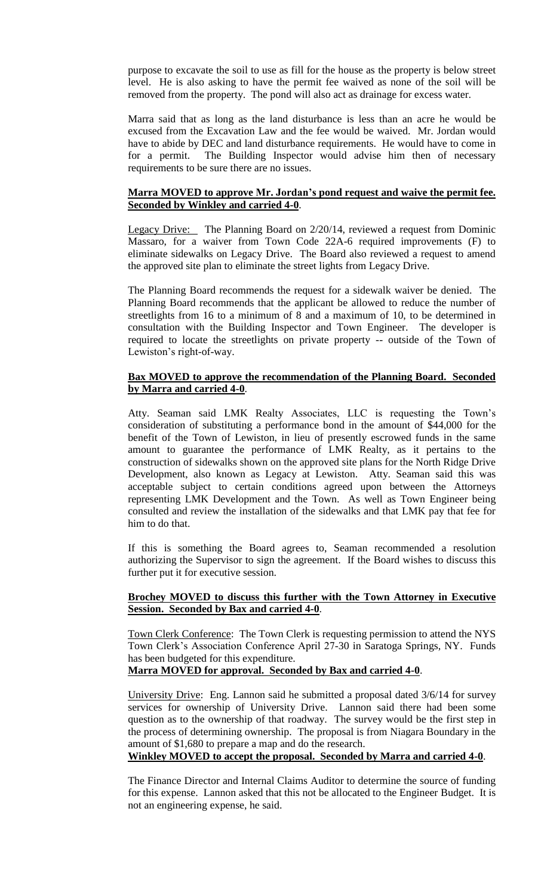purpose to excavate the soil to use as fill for the house as the property is below street level. He is also asking to have the permit fee waived as none of the soil will be removed from the property. The pond will also act as drainage for excess water.

Marra said that as long as the land disturbance is less than an acre he would be excused from the Excavation Law and the fee would be waived. Mr. Jordan would have to abide by DEC and land disturbance requirements. He would have to come in for a permit. The Building Inspector would advise him then of necessary requirements to be sure there are no issues.

## **Marra MOVED to approve Mr. Jordan's pond request and waive the permit fee. Seconded by Winkley and carried 4-0**.

Legacy Drive: The Planning Board on 2/20/14, reviewed a request from Dominic Massaro, for a waiver from Town Code 22A-6 required improvements (F) to eliminate sidewalks on Legacy Drive. The Board also reviewed a request to amend the approved site plan to eliminate the street lights from Legacy Drive.

The Planning Board recommends the request for a sidewalk waiver be denied. The Planning Board recommends that the applicant be allowed to reduce the number of streetlights from 16 to a minimum of 8 and a maximum of 10, to be determined in consultation with the Building Inspector and Town Engineer. The developer is required to locate the streetlights on private property -- outside of the Town of Lewiston's right-of-way.

## **Bax MOVED to approve the recommendation of the Planning Board. Seconded by Marra and carried 4-0**.

Atty. Seaman said LMK Realty Associates, LLC is requesting the Town's consideration of substituting a performance bond in the amount of \$44,000 for the benefit of the Town of Lewiston, in lieu of presently escrowed funds in the same amount to guarantee the performance of LMK Realty, as it pertains to the construction of sidewalks shown on the approved site plans for the North Ridge Drive Development, also known as Legacy at Lewiston. Atty. Seaman said this was acceptable subject to certain conditions agreed upon between the Attorneys representing LMK Development and the Town. As well as Town Engineer being consulted and review the installation of the sidewalks and that LMK pay that fee for him to do that.

If this is something the Board agrees to, Seaman recommended a resolution authorizing the Supervisor to sign the agreement. If the Board wishes to discuss this further put it for executive session.

# **Brochey MOVED to discuss this further with the Town Attorney in Executive Session. Seconded by Bax and carried 4-0**.

Town Clerk Conference: The Town Clerk is requesting permission to attend the NYS Town Clerk's Association Conference April 27-30 in Saratoga Springs, NY. Funds has been budgeted for this expenditure.

**Marra MOVED for approval. Seconded by Bax and carried 4-0**.

University Drive: Eng. Lannon said he submitted a proposal dated 3/6/14 for survey services for ownership of University Drive. Lannon said there had been some question as to the ownership of that roadway. The survey would be the first step in the process of determining ownership. The proposal is from Niagara Boundary in the amount of \$1,680 to prepare a map and do the research.

**Winkley MOVED to accept the proposal. Seconded by Marra and carried 4-0**.

The Finance Director and Internal Claims Auditor to determine the source of funding for this expense. Lannon asked that this not be allocated to the Engineer Budget. It is not an engineering expense, he said.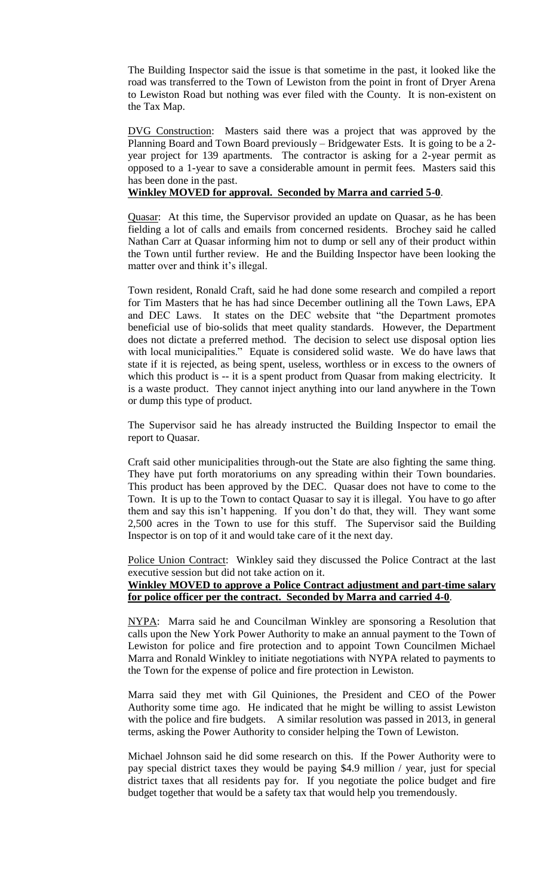The Building Inspector said the issue is that sometime in the past, it looked like the road was transferred to the Town of Lewiston from the point in front of Dryer Arena to Lewiston Road but nothing was ever filed with the County. It is non-existent on the Tax Map.

DVG Construction: Masters said there was a project that was approved by the Planning Board and Town Board previously – Bridgewater Ests. It is going to be a 2 year project for 139 apartments. The contractor is asking for a 2-year permit as opposed to a 1-year to save a considerable amount in permit fees. Masters said this has been done in the past.

#### **Winkley MOVED for approval. Seconded by Marra and carried 5-0**.

Quasar: At this time, the Supervisor provided an update on Quasar, as he has been fielding a lot of calls and emails from concerned residents. Brochey said he called Nathan Carr at Quasar informing him not to dump or sell any of their product within the Town until further review. He and the Building Inspector have been looking the matter over and think it's illegal.

Town resident, Ronald Craft, said he had done some research and compiled a report for Tim Masters that he has had since December outlining all the Town Laws, EPA and DEC Laws. It states on the DEC website that "the Department promotes beneficial use of bio-solids that meet quality standards. However, the Department does not dictate a preferred method. The decision to select use disposal option lies with local municipalities." Equate is considered solid waste. We do have laws that state if it is rejected, as being spent, useless, worthless or in excess to the owners of which this product is -- it is a spent product from Quasar from making electricity. It is a waste product. They cannot inject anything into our land anywhere in the Town or dump this type of product.

The Supervisor said he has already instructed the Building Inspector to email the report to Quasar.

Craft said other municipalities through-out the State are also fighting the same thing. They have put forth moratoriums on any spreading within their Town boundaries. This product has been approved by the DEC. Quasar does not have to come to the Town. It is up to the Town to contact Quasar to say it is illegal. You have to go after them and say this isn't happening. If you don't do that, they will. They want some 2,500 acres in the Town to use for this stuff. The Supervisor said the Building Inspector is on top of it and would take care of it the next day.

Police Union Contract: Winkley said they discussed the Police Contract at the last executive session but did not take action on it.

# **Winkley MOVED to approve a Police Contract adjustment and part-time salary for police officer per the contract. Seconded by Marra and carried 4-0**.

NYPA: Marra said he and Councilman Winkley are sponsoring a Resolution that calls upon the New York Power Authority to make an annual payment to the Town of Lewiston for police and fire protection and to appoint Town Councilmen Michael Marra and Ronald Winkley to initiate negotiations with NYPA related to payments to the Town for the expense of police and fire protection in Lewiston.

Marra said they met with Gil Quiniones, the President and CEO of the Power Authority some time ago. He indicated that he might be willing to assist Lewiston with the police and fire budgets. A similar resolution was passed in 2013, in general terms, asking the Power Authority to consider helping the Town of Lewiston.

Michael Johnson said he did some research on this. If the Power Authority were to pay special district taxes they would be paying \$4.9 million / year, just for special district taxes that all residents pay for. If you negotiate the police budget and fire budget together that would be a safety tax that would help you tremendously.